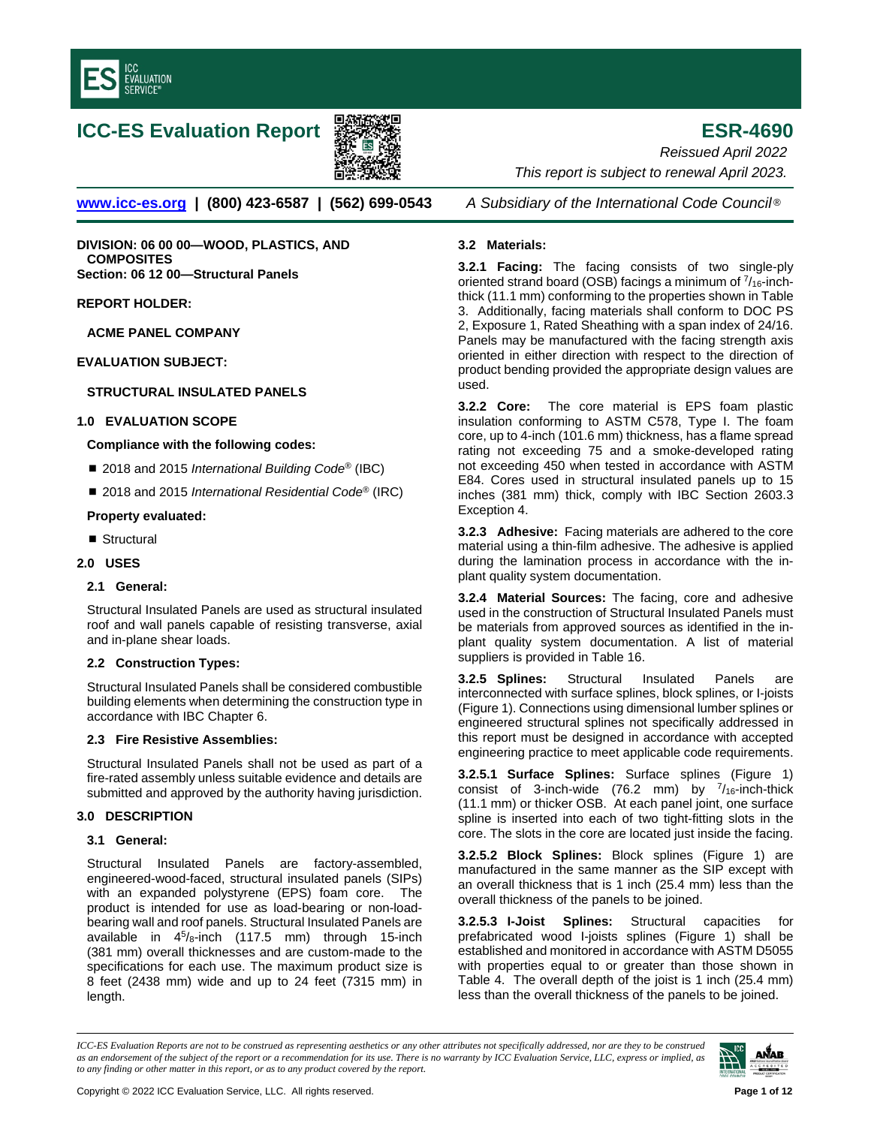

# **ICC-ES Evaluation Report ESR-4690**



**[www.icc-es.org](http://www.icc-es.org/) | (800) 423-6587 | (562) 699-0543** *A Subsidiary of the International Code Council* ®

**DIVISION: 06 00 00—WOOD, PLASTICS, AND COMPOSITES Section: 06 12 00—Structural Panels**

**REPORT HOLDER:**

**ACME PANEL COMPANY**

**EVALUATION SUBJECT:** 

# **STRUCTURAL INSULATED PANELS**

# **1.0 EVALUATION SCOPE**

# **Compliance with the following codes:**

- 2018 and 2015 *International Building Code<sup>®</sup>* (IBC)
- 2018 and 2015 *International Residential Code<sup>®</sup>* (IRC)

## **Property evaluated:**

■ Structural

## **2.0 USES**

## **2.1 General:**

Structural Insulated Panels are used as structural insulated roof and wall panels capable of resisting transverse, axial and in-plane shear loads.

# **2.2 Construction Types:**

Structural Insulated Panels shall be considered combustible building elements when determining the construction type in accordance with IBC Chapter 6.

## **2.3 Fire Resistive Assemblies:**

Structural Insulated Panels shall not be used as part of a fire-rated assembly unless suitable evidence and details are submitted and approved by the authority having jurisdiction.

## **3.0 DESCRIPTION**

## **3.1 General:**

Structural Insulated Panels are factory-assembled, engineered-wood-faced, structural insulated panels (SIPs) with an expanded polystyrene (EPS) foam core. The product is intended for use as load-bearing or non-loadbearing wall and roof panels. Structural Insulated Panels are available in 45/8-inch (117.5 mm) through 15-inch (381 mm) overall thicknesses and are custom-made to the specifications for each use. The maximum product size is 8 feet (2438 mm) wide and up to 24 feet (7315 mm) in length.

*Reissued April 2022 This report is subject to renewal April 2023.* 

# **3.2 Materials:**

**3.2.1 Facing:** The facing consists of two single-ply oriented strand board (OSB) facings a minimum of  $\frac{7}{16}$ -inchthick (11.1 mm) conforming to the properties shown in Table 3. Additionally, facing materials shall conform to DOC PS 2, Exposure 1, Rated Sheathing with a span index of 24/16. Panels may be manufactured with the facing strength axis oriented in either direction with respect to the direction of product bending provided the appropriate design values are used.

**3.2.2 Core:** The core material is EPS foam plastic insulation conforming to ASTM C578, Type I. The foam core, up to 4-inch (101.6 mm) thickness, has a flame spread rating not exceeding 75 and a smoke-developed rating not exceeding 450 when tested in accordance with ASTM E84. Cores used in structural insulated panels up to 15 inches (381 mm) thick, comply with IBC Section 2603.3 Exception 4.

**3.2.3 Adhesive:** Facing materials are adhered to the core material using a thin-film adhesive. The adhesive is applied during the lamination process in accordance with the inplant quality system documentation.

**3.2.4 Material Sources:** The facing, core and adhesive used in the construction of Structural Insulated Panels must be materials from approved sources as identified in the inplant quality system documentation. A list of material suppliers is provided in Table 16.

**3.2.5 Splines:** Structural Insulated Panels are interconnected with surface splines, block splines, or I-joists (Figure 1). Connections using dimensional lumber splines or engineered structural splines not specifically addressed in this report must be designed in accordance with accepted engineering practice to meet applicable code requirements.

**3.2.5.1 Surface Splines:** Surface splines (Figure 1) consist of 3-inch-wide (76.2 mm) by  $^{7}/_{16}$ -inch-thick (11.1 mm) or thicker OSB. At each panel joint, one surface spline is inserted into each of two tight-fitting slots in the core. The slots in the core are located just inside the facing.

**3.2.5.2 Block Splines:** Block splines (Figure 1) are manufactured in the same manner as the SIP except with an overall thickness that is 1 inch (25.4 mm) less than the overall thickness of the panels to be joined.

**3.2.5.3 I-Joist Splines:** Structural capacities for prefabricated wood I-joists splines (Figure 1) shall be established and monitored in accordance with ASTM D5055 with properties equal to or greater than those shown in Table 4. The overall depth of the joist is 1 inch (25.4 mm) less than the overall thickness of the panels to be joined.

*ICC-ES Evaluation Reports are not to be construed as representing aesthetics or any other attributes not specifically addressed, nor are they to be construed as an endorsement of the subject of the report or a recommendation for its use. There is no warranty by ICC Evaluation Service, LLC, express or implied, as to any finding or other matter in this report, or as to any product covered by the report.*

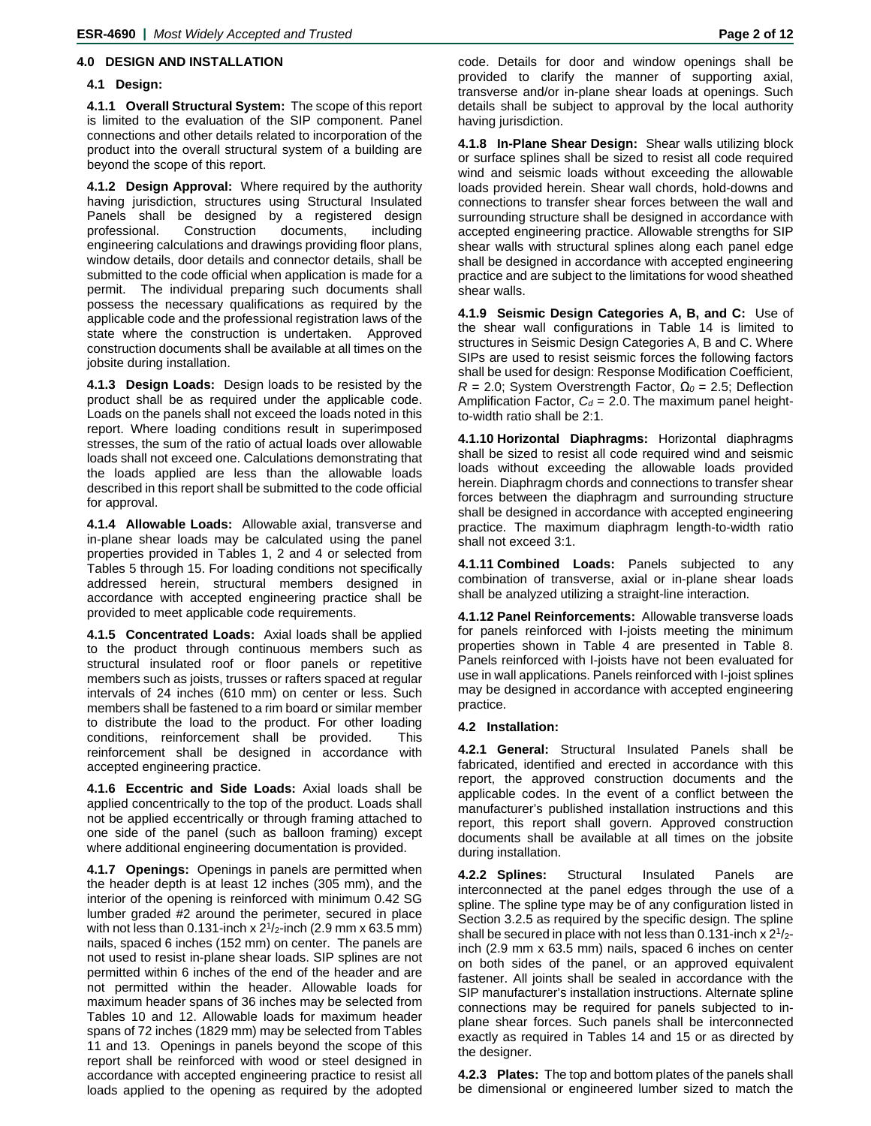# **4.0 DESIGN AND INSTALLATION**

# **4.1 Design:**

**4.1.1 Overall Structural System:** The scope of this report is limited to the evaluation of the SIP component. Panel connections and other details related to incorporation of the product into the overall structural system of a building are beyond the scope of this report.

**4.1.2 Design Approval:** Where required by the authority having jurisdiction, structures using Structural Insulated Panels shall be designed by a registered design professional. Construction documents, including engineering calculations and drawings providing floor plans, window details, door details and connector details, shall be submitted to the code official when application is made for a permit. The individual preparing such documents shall possess the necessary qualifications as required by the applicable code and the professional registration laws of the state where the construction is undertaken. Approved construction documents shall be available at all times on the jobsite during installation.

**4.1.3 Design Loads:** Design loads to be resisted by the product shall be as required under the applicable code. Loads on the panels shall not exceed the loads noted in this report. Where loading conditions result in superimposed stresses, the sum of the ratio of actual loads over allowable loads shall not exceed one. Calculations demonstrating that the loads applied are less than the allowable loads described in this report shall be submitted to the code official for approval.

**4.1.4 Allowable Loads:** Allowable axial, transverse and in-plane shear loads may be calculated using the panel properties provided in Tables 1, 2 and 4 or selected from Tables 5 through 15. For loading conditions not specifically addressed herein, structural members designed in accordance with accepted engineering practice shall be provided to meet applicable code requirements.

**4.1.5 Concentrated Loads:** Axial loads shall be applied to the product through continuous members such as structural insulated roof or floor panels or repetitive members such as joists, trusses or rafters spaced at regular intervals of 24 inches (610 mm) on center or less. Such members shall be fastened to a rim board or similar member to distribute the load to the product. For other loading conditions, reinforcement shall be provided. This reinforcement shall be designed in accordance with accepted engineering practice.

**4.1.6 Eccentric and Side Loads:** Axial loads shall be applied concentrically to the top of the product. Loads shall not be applied eccentrically or through framing attached to one side of the panel (such as balloon framing) except where additional engineering documentation is provided.

**4.1.7 Openings:** Openings in panels are permitted when the header depth is at least 12 inches (305 mm), and the interior of the opening is reinforced with minimum 0.42 SG lumber graded #2 around the perimeter, secured in place with not less than 0.131-inch x  $2^{1}/2$ -inch (2.9 mm x 63.5 mm) nails, spaced 6 inches (152 mm) on center. The panels are not used to resist in-plane shear loads. SIP splines are not permitted within 6 inches of the end of the header and are not permitted within the header. Allowable loads for maximum header spans of 36 inches may be selected from Tables 10 and 12. Allowable loads for maximum header spans of 72 inches (1829 mm) may be selected from Tables 11 and 13. Openings in panels beyond the scope of this report shall be reinforced with wood or steel designed in accordance with accepted engineering practice to resist all loads applied to the opening as required by the adopted

code. Details for door and window openings shall be provided to clarify the manner of supporting axial, transverse and/or in-plane shear loads at openings. Such details shall be subject to approval by the local authority having jurisdiction.

**4.1.8 In-Plane Shear Design:** Shear walls utilizing block or surface splines shall be sized to resist all code required wind and seismic loads without exceeding the allowable loads provided herein. Shear wall chords, hold-downs and connections to transfer shear forces between the wall and surrounding structure shall be designed in accordance with accepted engineering practice. Allowable strengths for SIP shear walls with structural splines along each panel edge shall be designed in accordance with accepted engineering practice and are subject to the limitations for wood sheathed shear walls.

**4.1.9 Seismic Design Categories A, B, and C:** Use of the shear wall configurations in Table 14 is limited to structures in Seismic Design Categories A, B and C. Where SIPs are used to resist seismic forces the following factors shall be used for design: Response Modification Coefficient, *R* = 2.0; System Overstrength Factor, *Ω<sup>0</sup>* = 2.5; Deflection Amplification Factor,  $C_d = 2.0$ . The maximum panel heightto-width ratio shall be 2:1.

**4.1.10 Horizontal Diaphragms:** Horizontal diaphragms shall be sized to resist all code required wind and seismic loads without exceeding the allowable loads provided herein. Diaphragm chords and connections to transfer shear forces between the diaphragm and surrounding structure shall be designed in accordance with accepted engineering practice. The maximum diaphragm length-to-width ratio shall not exceed 3:1.

**4.1.11 Combined Loads:** Panels subjected to any combination of transverse, axial or in-plane shear loads shall be analyzed utilizing a straight-line interaction.

**4.1.12 Panel Reinforcements:** Allowable transverse loads for panels reinforced with I-joists meeting the minimum properties shown in Table 4 are presented in Table 8. Panels reinforced with I-joists have not been evaluated for use in wall applications. Panels reinforced with I-joist splines may be designed in accordance with accepted engineering practice.

# **4.2 Installation:**

**4.2.1 General:** Structural Insulated Panels shall be fabricated, identified and erected in accordance with this report, the approved construction documents and the applicable codes. In the event of a conflict between the manufacturer's published installation instructions and this report, this report shall govern. Approved construction documents shall be available at all times on the jobsite during installation.

**4.2.2 Splines:** Structural Insulated Panels are interconnected at the panel edges through the use of a spline. The spline type may be of any configuration listed in Section 3.2.5 as required by the specific design. The spline shall be secured in place with not less than 0.131-inch x  $2\frac{1}{2}$ inch (2.9 mm x 63.5 mm) nails, spaced 6 inches on center on both sides of the panel, or an approved equivalent fastener. All joints shall be sealed in accordance with the SIP manufacturer's installation instructions. Alternate spline connections may be required for panels subjected to inplane shear forces. Such panels shall be interconnected exactly as required in Tables 14 and 15 or as directed by the designer.

**4.2.3 Plates:** The top and bottom plates of the panels shall be dimensional or engineered lumber sized to match the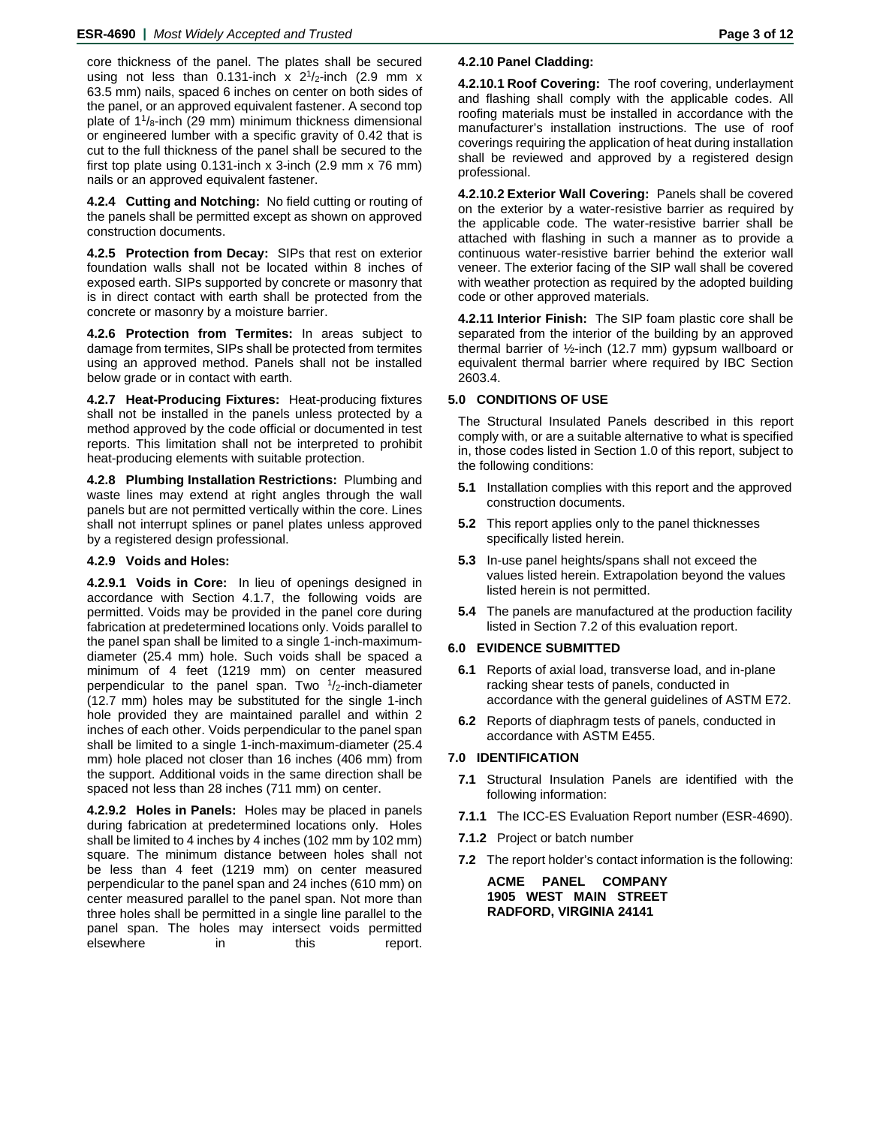core thickness of the panel. The plates shall be secured using not less than 0.131-inch  $x$  2<sup>1</sup>/<sub>2</sub>-inch (2.9 mm  $x$ 63.5 mm) nails, spaced 6 inches on center on both sides of the panel, or an approved equivalent fastener. A second top plate of  $1\frac{1}{8}$ -inch (29 mm) minimum thickness dimensional or engineered lumber with a specific gravity of 0.42 that is cut to the full thickness of the panel shall be secured to the first top plate using 0.131-inch x 3-inch (2.9 mm x 76 mm) nails or an approved equivalent fastener.

**4.2.4 Cutting and Notching:** No field cutting or routing of the panels shall be permitted except as shown on approved construction documents.

**4.2.5 Protection from Decay:** SIPs that rest on exterior foundation walls shall not be located within 8 inches of exposed earth. SIPs supported by concrete or masonry that is in direct contact with earth shall be protected from the concrete or masonry by a moisture barrier.

**4.2.6 Protection from Termites:** In areas subject to damage from termites, SIPs shall be protected from termites using an approved method. Panels shall not be installed below grade or in contact with earth.

**4.2.7 Heat-Producing Fixtures:** Heat-producing fixtures shall not be installed in the panels unless protected by a method approved by the code official or documented in test reports. This limitation shall not be interpreted to prohibit heat-producing elements with suitable protection.

**4.2.8 Plumbing Installation Restrictions:** Plumbing and waste lines may extend at right angles through the wall panels but are not permitted vertically within the core. Lines shall not interrupt splines or panel plates unless approved by a registered design professional.

# **4.2.9 Voids and Holes:**

**4.2.9.1 Voids in Core:** In lieu of openings designed in accordance with Section 4.1.7, the following voids are permitted. Voids may be provided in the panel core during fabrication at predetermined locations only. Voids parallel to the panel span shall be limited to a single 1-inch-maximumdiameter (25.4 mm) hole. Such voids shall be spaced a minimum of 4 feet (1219 mm) on center measured perpendicular to the panel span. Two  $1/2$ -inch-diameter (12.7 mm) holes may be substituted for the single 1-inch hole provided they are maintained parallel and within 2 inches of each other. Voids perpendicular to the panel span shall be limited to a single 1-inch-maximum-diameter (25.4 mm) hole placed not closer than 16 inches (406 mm) from the support. Additional voids in the same direction shall be spaced not less than 28 inches (711 mm) on center.

**4.2.9.2 Holes in Panels:** Holes may be placed in panels during fabrication at predetermined locations only. Holes shall be limited to 4 inches by 4 inches (102 mm by 102 mm) square. The minimum distance between holes shall not be less than 4 feet (1219 mm) on center measured perpendicular to the panel span and 24 inches (610 mm) on center measured parallel to the panel span. Not more than three holes shall be permitted in a single line parallel to the panel span. The holes may intersect voids permitted elsewhere in this report. **4.2.10.1 Roof Covering:** The roof covering, underlayment and flashing shall comply with the applicable codes. All roofing materials must be installed in accordance with the manufacturer's installation instructions. The use of roof coverings requiring the application of heat during installation shall be reviewed and approved by a registered design professional.

**4.2.10.2 Exterior Wall Covering:** Panels shall be covered on the exterior by a water-resistive barrier as required by the applicable code. The water-resistive barrier shall be attached with flashing in such a manner as to provide a continuous water-resistive barrier behind the exterior wall veneer. The exterior facing of the SIP wall shall be covered with weather protection as required by the adopted building code or other approved materials.

**4.2.11 Interior Finish:** The SIP foam plastic core shall be separated from the interior of the building by an approved thermal barrier of ½-inch (12.7 mm) gypsum wallboard or equivalent thermal barrier where required by IBC Section 2603.4.

# **5.0 CONDITIONS OF USE**

The Structural Insulated Panels described in this report comply with, or are a suitable alternative to what is specified in, those codes listed in Section 1.0 of this report, subject to the following conditions:

- **5.1** Installation complies with this report and the approved construction documents.
- **5.2** This report applies only to the panel thicknesses specifically listed herein.
- **5.3** In-use panel heights/spans shall not exceed the values listed herein. Extrapolation beyond the values listed herein is not permitted.
- **5.4** The panels are manufactured at the production facility listed in Section 7.2 of this evaluation report.

# **6.0 EVIDENCE SUBMITTED**

- **6.1** Reports of axial load, transverse load, and in-plane racking shear tests of panels, conducted in accordance with the general guidelines of ASTM E72.
- **6.2** Reports of diaphragm tests of panels, conducted in accordance with ASTM E455.

## **7.0 IDENTIFICATION**

- **7.1** Structural Insulation Panels are identified with the following information:
- **7.1.1** The ICC-ES Evaluation Report number (ESR-4690).
- **7.1.2** Project or batch number
- **7.2** The report holder's contact information is the following:

**ACME PANEL COMPANY 1905 WEST MAIN STREET RADFORD, VIRGINIA 24141**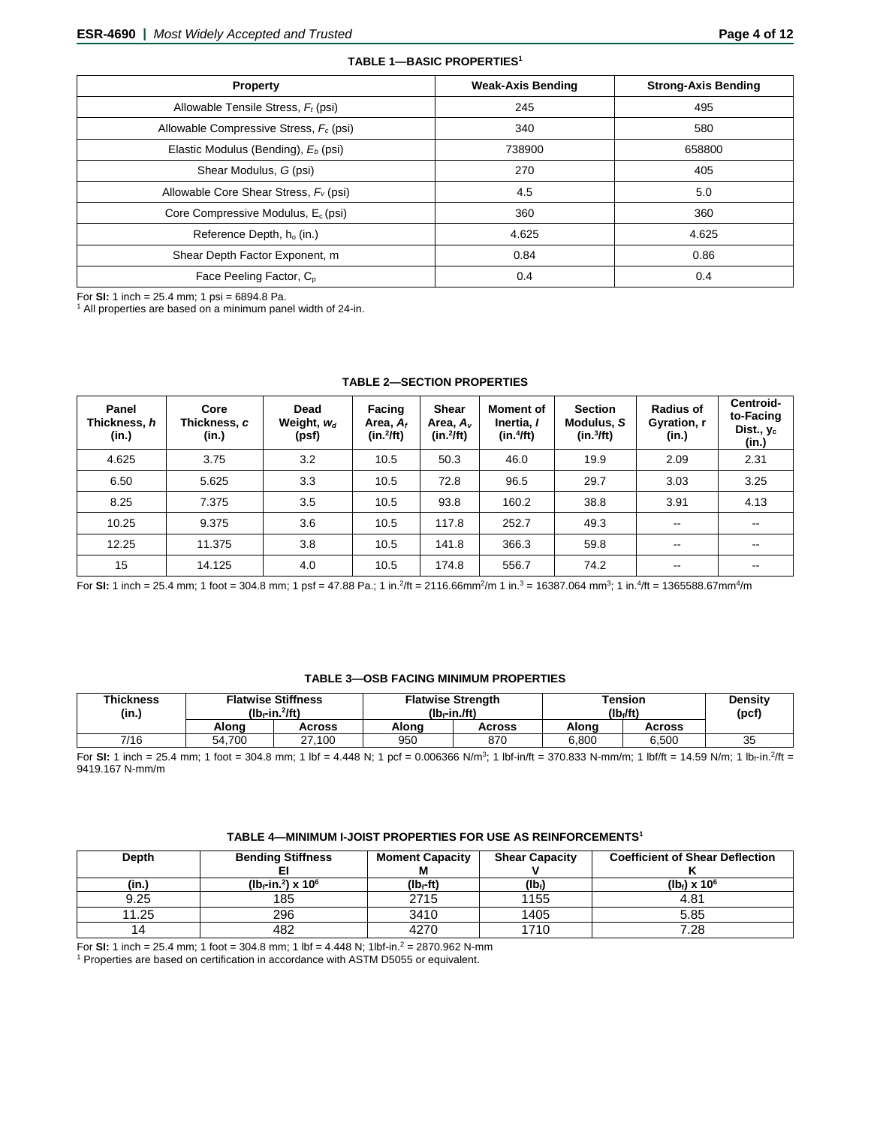| <b>Property</b>                                 | <b>Weak-Axis Bending</b> | <b>Strong-Axis Bending</b> |
|-------------------------------------------------|--------------------------|----------------------------|
| Allowable Tensile Stress, $F_t$ (psi)           | 245                      | 495                        |
| Allowable Compressive Stress, $F_c$ (psi)       | 340                      | 580                        |
| Elastic Modulus (Bending), E <sub>b</sub> (psi) | 738900                   | 658800                     |
| Shear Modulus, G (psi)                          | 270                      | 405                        |
| Allowable Core Shear Stress, $F_v$ (psi)        | 4.5                      | 5.0                        |
| Core Compressive Modulus, $E_c$ (psi)           | 360                      | 360                        |
| Reference Depth, $h_0$ (in.)                    | 4.625                    | 4.625                      |
| Shear Depth Factor Exponent, m                  | 0.84                     | 0.86                       |
| Face Peeling Factor, C <sub>p</sub>             | 0.4                      | 0.4                        |

**TABLE 1—BASIC PROPERTIES1**

For **SI:** 1 inch = 25.4 mm; 1 psi = 6894.8 Pa.<br><sup>1</sup> All properties are based on a minimum panel width of 24-in.

| Panel<br>Thickness, h<br>(in.) | Core<br>Thickness, c<br>(in.) | Dead<br>Weight, $w_d$<br>(psf) | Facing<br>Area, $A_t$<br>$(in.^2/ft)$ | <b>Shear</b><br>Area, A <sub>v</sub><br>$(in.^2/ft)$ | <b>Moment of</b><br>Inertia, I<br>(in.4ft) | <b>Section</b><br>Modulus, S<br>(in.3/ft) | <b>Radius of</b><br>Gyration, r<br>(in.) | Centroid-<br>to-Facing<br>Dist., $y_c$<br>(in.) |
|--------------------------------|-------------------------------|--------------------------------|---------------------------------------|------------------------------------------------------|--------------------------------------------|-------------------------------------------|------------------------------------------|-------------------------------------------------|
| 4.625                          | 3.75                          | 3.2                            | 10.5                                  | 50.3                                                 | 46.0                                       | 19.9                                      | 2.09                                     | 2.31                                            |
| 6.50                           | 5.625                         | 3.3                            | 10.5                                  | 72.8                                                 | 96.5                                       | 29.7                                      | 3.03                                     | 3.25                                            |
| 8.25                           | 7.375                         | 3.5                            | 10.5                                  | 93.8                                                 | 160.2                                      | 38.8                                      | 3.91                                     | 4.13                                            |
| 10.25                          | 9.375                         | 3.6                            | 10.5                                  | 117.8                                                | 252.7                                      | 49.3                                      | $\sim$                                   | $\sim$ $\sim$                                   |
| 12.25                          | 11.375                        | 3.8                            | 10.5                                  | 141.8                                                | 366.3                                      | 59.8                                      | $\overline{\phantom{m}}$                 | $\sim$                                          |
| 15                             | 14.125                        | 4.0                            | 10.5                                  | 174.8                                                | 556.7                                      | 74.2                                      | $\overline{\phantom{m}}$                 | $- -$                                           |

#### **TABLE 2—SECTION PROPERTIES**

For **SI:** 1 inch = 25.4 mm; 1 foot = 304.8 mm; 1 psf = 47.88 Pa.; 1 in.2/ft = 2116.66mm2/m 1 in.3 = 16387.064 mm3; 1 in.4/ft = 1365588.67mm4/m

## **TABLE 3—OSB FACING MINIMUM PROPERTIES**

| <b>Thickness</b><br>(in.) | <b>Flatwise Stiffness</b><br>$(Ib - in.^2)$ ft) |               |       | <b>Flatwise Strength</b><br>$(Ib - in .ft)$ | Tension<br>(lb./ft) | <b>Density</b><br>(pcf |    |
|---------------------------|-------------------------------------------------|---------------|-------|---------------------------------------------|---------------------|------------------------|----|
|                           | Alona                                           | <b>Across</b> | Alona | Across                                      | Alona               | Across                 |    |
| 7/16                      | 54.700                                          | 27.100        | 950   | 870                                         | 6.800               | 6.500                  | 35 |

For **SI:** 1 inch = 25.4 mm; 1 foot = 304.8 mm; 1 lbf = 4.448 N; 1 pcf = 0.006366 N/m<sup>3</sup>; 1 lbf-in/ft = 370.833 N-mm/m; 1 lbf/ft = 14.59 N/m; 1 lb<sub>f</sub>-in.<sup>2</sup>/ft = 9419.167 N-mm/m

## **TABLE 4—MINIMUM I-JOIST PROPERTIES FOR USE AS REINFORCEMENTS1**

| Depth | <b>Bending Stiffness</b>                      | <b>Moment Capacity</b> | <b>Shear Capacity</b> | <b>Coefficient of Shear Deflection</b> |
|-------|-----------------------------------------------|------------------------|-----------------------|----------------------------------------|
|       |                                               |                        |                       |                                        |
| (in.) | ( $10f$ -in. <sup>2</sup> ) x 10 <sup>6</sup> | (lbr-ft)               | $(Ib_i)$              | $(lb) \times 10^{6}$                   |
| 9.25  | 185                                           | 2715                   | 1155                  | 4.81                                   |
| 11.25 | 296                                           | 3410                   | 1405                  | 5.85                                   |
| 14    | 482                                           | 4270                   | 1710                  | 7.28                                   |

For **SI:** 1 inch = 25.4 mm; 1 foot = 304.8 mm; 1 lbf = 4.448 N; 1lbf-in.<sup>2</sup> = 2870.962 N-mm

<sup>1</sup> Properties are based on certification in accordance with ASTM D5055 or equivalent.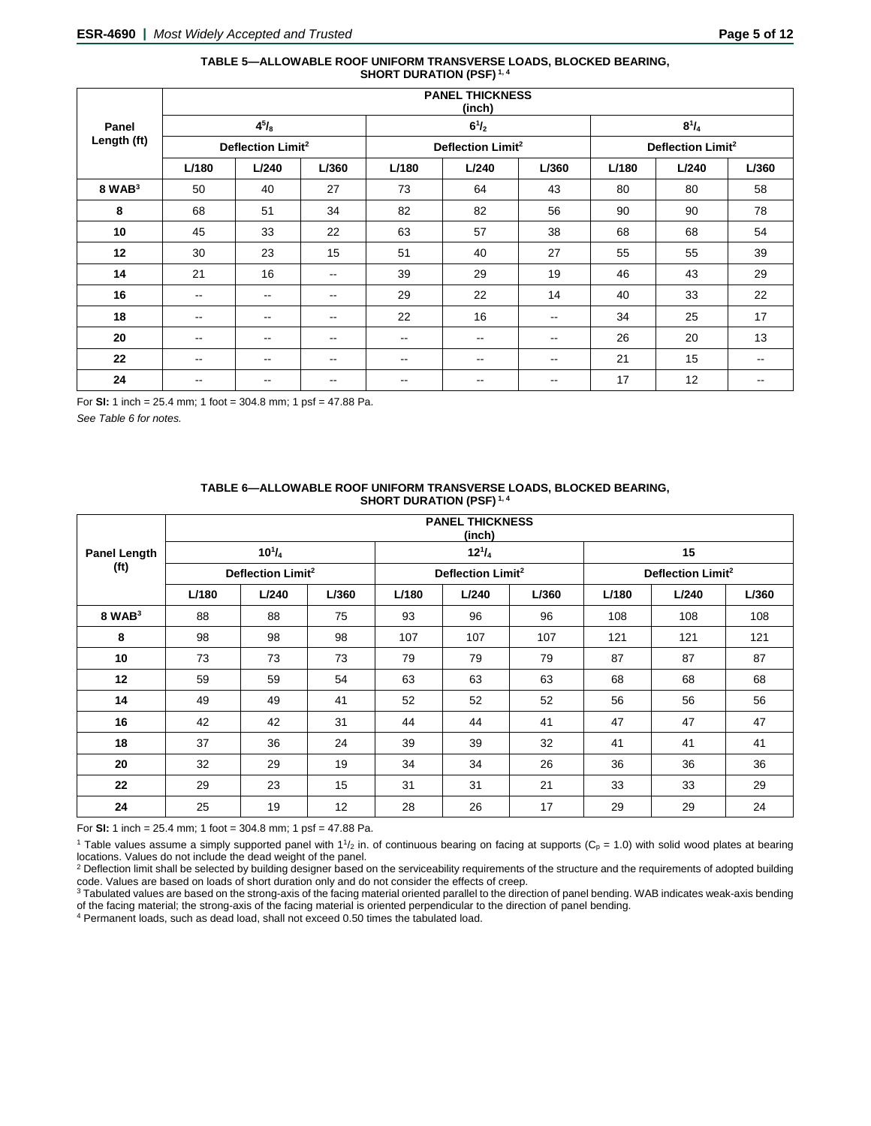#### **TABLE 5—ALLOWABLE ROOF UNIFORM TRANSVERSE LOADS, BLOCKED BEARING, SHORT DURATION (PSF) 1, 4**

|             | <b>PANEL THICKNESS</b><br>(inch) |                          |                          |                          |                               |                          |       |                               |                          |  |  |
|-------------|----------------------------------|--------------------------|--------------------------|--------------------------|-------------------------------|--------------------------|-------|-------------------------------|--------------------------|--|--|
| Panel       |                                  | $4^{5}/_{8}$             |                          |                          | $6^{1}/_{2}$                  |                          |       | $8^{1}/_{4}$                  |                          |  |  |
| Length (ft) | Deflection Limit <sup>2</sup>    |                          |                          |                          | Deflection Limit <sup>2</sup> |                          |       | Deflection Limit <sup>2</sup> |                          |  |  |
|             | L/180                            | L/240                    | L/360                    | L/180                    | L/240                         | L/360                    | L/180 | L/240                         | L/360                    |  |  |
| $8$ WAB $3$ | 50                               | 40                       | 27                       | 73                       | 64                            | 43                       | 80    | 80                            | 58                       |  |  |
| 8           | 68                               | 51                       | 34                       | 82                       | 82                            | 56                       | 90    | 90                            | 78                       |  |  |
| 10          | 45                               | 33                       | 22                       | 63                       | 57                            | 38                       | 68    | 68                            | 54                       |  |  |
| 12          | 30                               | 23                       | 15                       | 51                       | 40                            | 27                       | 55    | 55                            | 39                       |  |  |
| 14          | 21                               | 16                       | $\sim$                   | 39                       | 29                            | 19                       | 46    | 43                            | 29                       |  |  |
| 16          | $\overline{\phantom{m}}$         | $\overline{\phantom{a}}$ | $\sim$                   | 29                       | 22                            | 14                       | 40    | 33                            | 22                       |  |  |
| 18          | $\sim$ $\sim$                    | $\qquad \qquad -$        | $\sim$ $\sim$            | 22                       | 16                            | $\overline{\phantom{a}}$ | 34    | 25                            | 17                       |  |  |
| 20          | $\overline{\phantom{m}}$         | $\qquad \qquad -$        | $\overline{\phantom{m}}$ | $\overline{\phantom{a}}$ | $\overline{\phantom{m}}$      | $\overline{\phantom{m}}$ | 26    | 20                            | 13                       |  |  |
| 22          | $\overline{\phantom{m}}$         | $\qquad \qquad -$        | $\sim$ $\sim$            | --                       | $- -$                         | $\overline{\phantom{m}}$ | 21    | 15                            | $\overline{\phantom{m}}$ |  |  |
| 24          | $\overline{\phantom{m}}$         | $\overline{\phantom{m}}$ | $\overline{\phantom{a}}$ | $\overline{\phantom{m}}$ | --                            | $\overline{\phantom{m}}$ | 17    | 12                            | $- -$                    |  |  |

For **SI:** 1 inch = 25.4 mm; 1 foot = 304.8 mm; 1 psf = 47.88 Pa.

*See Table 6 for notes.*

| TABLE 6—ALLOWABLE ROOF UNIFORM TRANSVERSE LOADS, BLOCKED BEARING, |
|-------------------------------------------------------------------|
| <b>SHORT DURATION (PSF)</b> <sup>1, 4</sup>                       |

|                     | <b>PANEL THICKNESS</b><br>(inch) |               |       |       |                               |       |       |                               |       |  |  |
|---------------------|----------------------------------|---------------|-------|-------|-------------------------------|-------|-------|-------------------------------|-------|--|--|
| <b>Panel Length</b> |                                  | $10^{1}/_{4}$ |       |       | $12^{1}/_{4}$                 |       |       | 15                            |       |  |  |
| (f <sup>t</sup> )   | Deflection Limit <sup>2</sup>    |               |       |       | Deflection Limit <sup>2</sup> |       |       | Deflection Limit <sup>2</sup> |       |  |  |
|                     | L/180                            | L/240         | L/360 | L/180 | L/240                         | L/360 | L/180 | L/240                         | L/360 |  |  |
| $8$ WAB $3$         | 88                               | 88            | 75    | 93    | 96                            | 96    | 108   | 108                           | 108   |  |  |
| 8                   | 98                               | 98            | 98    | 107   | 107                           | 107   | 121   | 121                           | 121   |  |  |
| 10                  | 73                               | 73            | 73    | 79    | 79                            | 79    | 87    | 87                            | 87    |  |  |
| 12                  | 59                               | 59            | 54    | 63    | 63                            | 63    | 68    | 68                            | 68    |  |  |
| 14                  | 49                               | 49            | 41    | 52    | 52                            | 52    | 56    | 56                            | 56    |  |  |
| 16                  | 42                               | 42            | 31    | 44    | 44                            | 41    | 47    | 47                            | 47    |  |  |
| 18                  | 37                               | 36            | 24    | 39    | 39                            | 32    | 41    | 41                            | 41    |  |  |
| 20                  | 32                               | 29            | 19    | 34    | 34                            | 26    | 36    | 36                            | 36    |  |  |
| 22                  | 29                               | 23            | 15    | 31    | 31                            | 21    | 33    | 33                            | 29    |  |  |
| 24                  | 25                               | 19            | 12    | 28    | 26                            | 17    | 29    | 29                            | 24    |  |  |

For **SI:** 1 inch = 25.4 mm; 1 foot = 304.8 mm; 1 psf = 47.88 Pa.

<sup>1</sup> Table values assume a simply supported panel with  $1\frac{1}{2}$  in. of continuous bearing on facing at supports (C<sub>p</sub> = 1.0) with solid wood plates at bearing locations. Values do not include the dead weight of the panel.

<sup>2</sup> Deflection limit shall be selected by building designer based on the serviceability requirements of the structure and the requirements of adopted building code. Values are based on loads of short duration only and do not consider the effects of creep.

<sup>3</sup> Tabulated values are based on the strong-axis of the facing material oriented parallel to the direction of panel bending. WAB indicates weak-axis bending of the facing material; the strong-axis of the facing material is oriented perpendicular to the direction of panel bending.

<sup>4</sup> Permanent loads, such as dead load, shall not exceed 0.50 times the tabulated load.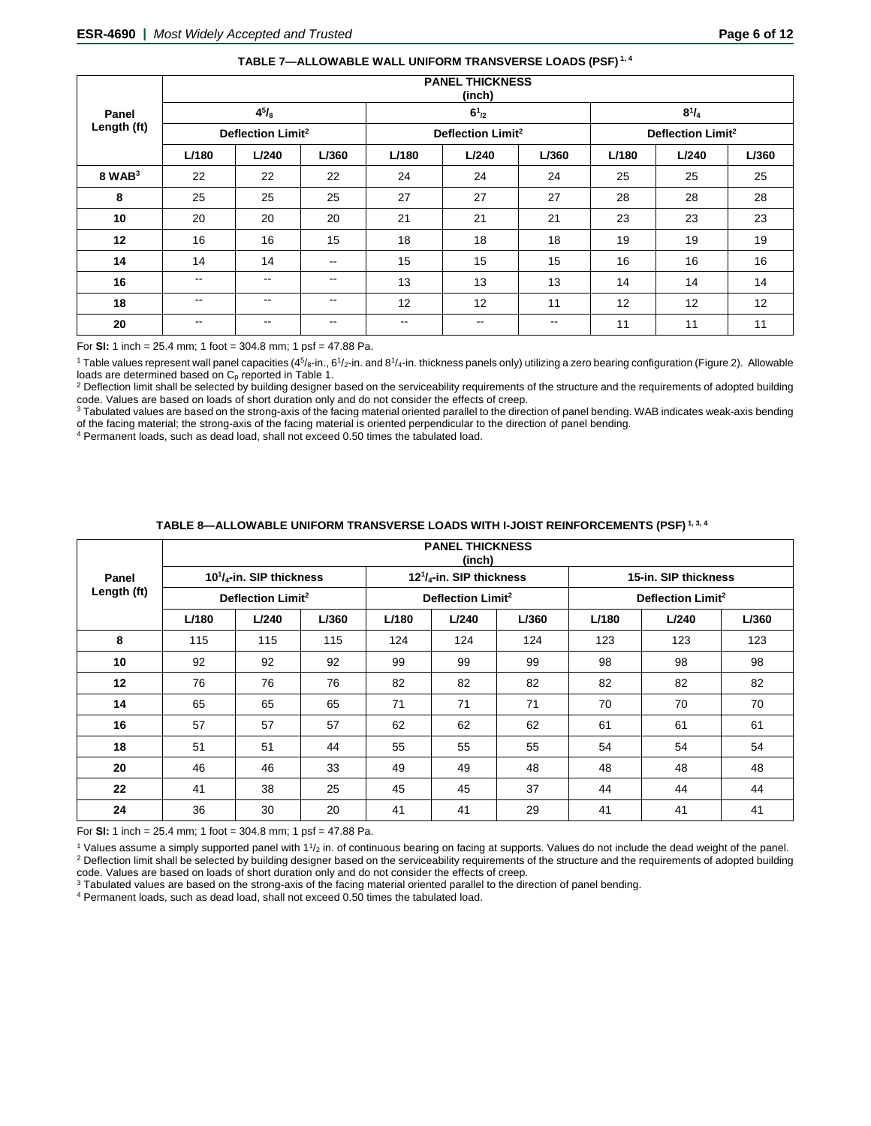| TABLE 7—ALLOWABLE WALL UNIFORM TRANSVERSE LOADS (PSF) <sup>1,4</sup> |  |
|----------------------------------------------------------------------|--|
|----------------------------------------------------------------------|--|

|             | <b>PANEL THICKNESS</b><br>(inch) |                   |                          |       |                               |       |       |                               |       |  |  |
|-------------|----------------------------------|-------------------|--------------------------|-------|-------------------------------|-------|-------|-------------------------------|-------|--|--|
| Panel       |                                  | $4^{5}/_{8}$      |                          |       | $6^{1}_{2}$                   |       |       | $8^{1}/_{4}$                  |       |  |  |
| Length (ft) | Deflection Limit <sup>2</sup>    |                   |                          |       | Deflection Limit <sup>2</sup> |       |       | Deflection Limit <sup>2</sup> |       |  |  |
|             | L/180                            | L/240             | L/360                    | L/180 | L/240                         | L/360 | L/180 | L/240                         | L/360 |  |  |
| $8$ WAB $3$ | 22                               | 22                | 22                       | 24    | 24                            | 24    | 25    | 25                            | 25    |  |  |
| 8           | 25                               | 25                | 25                       | 27    | 27                            | 27    | 28    | 28                            | 28    |  |  |
| 10          | 20                               | 20                | 20                       | 21    | 21                            | 21    | 23    | 23                            | 23    |  |  |
| 12          | 16                               | 16                | 15                       | 18    | 18                            | 18    | 19    | 19                            | 19    |  |  |
| 14          | 14                               | 14                | $\overline{\phantom{m}}$ | 15    | 15                            | 15    | 16    | 16                            | 16    |  |  |
| 16          | $\overline{\phantom{m}}$         | --                | $- -$                    | 13    | 13                            | 13    | 14    | 14                            | 14    |  |  |
| 18          | $\overline{\phantom{m}}$         | $\qquad \qquad -$ | $\overline{\phantom{a}}$ | 12    | 12                            | 11    | 12    | 12                            | 12    |  |  |
| 20          | $\overline{\phantom{m}}$         | $\qquad \qquad -$ | $\overline{\phantom{a}}$ | $- -$ | $- -$                         | $- -$ | 11    | 11                            | 11    |  |  |

For **SI:** 1 inch = 25.4 mm; 1 foot = 304.8 mm; 1 psf = 47.88 Pa.

<sup>1</sup> Table values represent wall panel capacities (45/<sub>8</sub>-in., 61/<sub>2</sub>-in. and 81/<sub>4</sub>-in. thickness panels only) utilizing a zero bearing configuration (Figure 2). Allowable loads are determined based on C<sub>p</sub> reported in Ta

<sup>2</sup> Deflection limit shall be selected by building designer based on the serviceability requirements of the structure and the requirements of adopted building code. Values are based on loads of short duration only and do not consider the effects of creep.

<sup>3</sup> Tabulated values are based on the strong-axis of the facing material oriented parallel to the direction of panel bending. WAB indicates weak-axis bending of the facing material; the strong-axis of the facing material is oriented perpendicular to the direction of panel bending.

<sup>4</sup> Permanent loads, such as dead load, shall not exceed 0.50 times the tabulated load.

|             | <b>PANEL THICKNESS</b><br>(inch) |                                                   |       |       |                                                   |       |       |                               |       |  |  |  |
|-------------|----------------------------------|---------------------------------------------------|-------|-------|---------------------------------------------------|-------|-------|-------------------------------|-------|--|--|--|
| Panel       |                                  | 10 <sup>1</sup> / <sub>4</sub> -in. SIP thickness |       |       | 12 <sup>1</sup> / <sub>4</sub> -in. SIP thickness |       |       | 15-in. SIP thickness          |       |  |  |  |
| Length (ft) | Deflection Limit <sup>2</sup>    |                                                   |       |       | Deflection Limit <sup>2</sup>                     |       |       | Deflection Limit <sup>2</sup> |       |  |  |  |
|             | L/180                            | L/240                                             | L/360 | L/180 | L/240                                             | L/360 | L/180 | L/240                         | L/360 |  |  |  |
| 8           | 115                              | 115                                               | 115   | 124   | 124                                               | 124   | 123   | 123                           | 123   |  |  |  |
| 10          | 92                               | 92                                                | 92    | 99    | 99                                                | 99    | 98    | 98                            | 98    |  |  |  |
| 12          | 76                               | 76                                                | 76    | 82    | 82                                                | 82    | 82    | 82                            | 82    |  |  |  |
| 14          | 65                               | 65                                                | 65    | 71    | 71                                                | 71    | 70    | 70                            | 70    |  |  |  |
| 16          | 57                               | 57                                                | 57    | 62    | 62                                                | 62    | 61    | 61                            | 61    |  |  |  |
| 18          | 51                               | 51                                                | 44    | 55    | 55                                                | 55    | 54    | 54                            | 54    |  |  |  |
| 20          | 46                               | 46                                                | 33    | 49    | 49                                                | 48    | 48    | 48                            | 48    |  |  |  |
| 22          | 41                               | 38                                                | 25    | 45    | 45                                                | 37    | 44    | 44                            | 44    |  |  |  |
| 24          | 36                               | 30                                                | 20    | 41    | 41                                                | 29    | 41    | 41                            | 41    |  |  |  |

# **TABLE 8—ALLOWABLE UNIFORM TRANSVERSE LOADS WITH I-JOIST REINFORCEMENTS (PSF) 1, 3, 4**

For **SI:** 1 inch = 25.4 mm; 1 foot = 304.8 mm; 1 psf = 47.88 Pa.

<sup>1</sup> Values assume a simply supported panel with  $1\frac{1}{2}$  in. of continuous bearing on facing at supports. Values do not include the dead weight of the panel. <sup>2</sup> Deflection limit shall be selected by building designer based on the serviceability requirements of the structure and the requirements of adopted building

code. Values are based on loads of short duration only and do not consider the effects of creep.<br><sup>3</sup> Tabulated values are based on the strong-axis of the facing material oriented parallel to the direction of panel bending.

<sup>4</sup> Permanent loads, such as dead load, shall not exceed 0.50 times the tabulated load.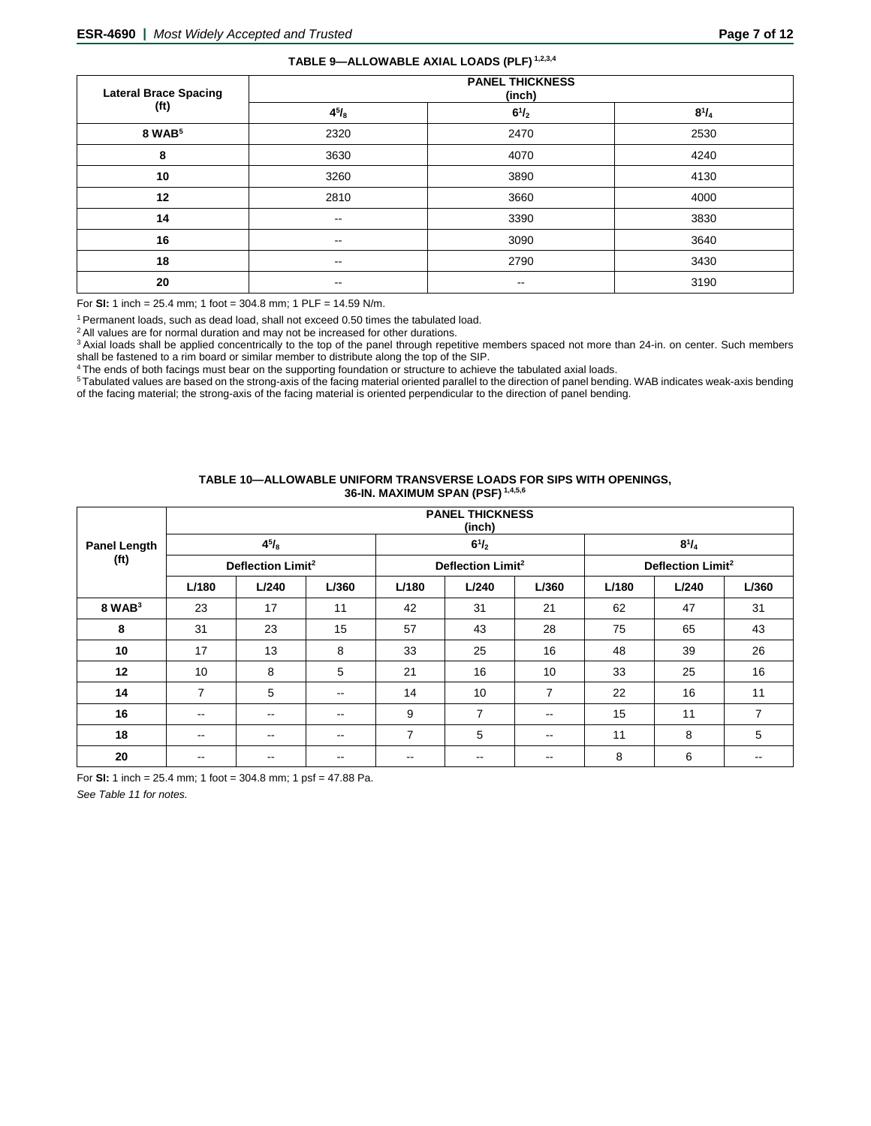# **TABLE 9—ALLOWABLE AXIAL LOADS (PLF) 1,2,3,4**

| <b>Lateral Brace Spacing</b> | <b>PANEL THICKNESS</b><br>(inch) |                          |              |  |  |  |  |  |
|------------------------------|----------------------------------|--------------------------|--------------|--|--|--|--|--|
| (f <sup>t</sup> )            | $4^{5}/_{8}$                     | $6^{1}/_{2}$             | $8^{1}/_{4}$ |  |  |  |  |  |
| 8 WAB <sup>5</sup>           | 2320                             | 2470                     | 2530         |  |  |  |  |  |
| 8                            | 3630                             | 4070                     | 4240         |  |  |  |  |  |
| 10                           | 3260                             | 3890                     | 4130         |  |  |  |  |  |
| 12                           | 2810                             | 3660                     | 4000         |  |  |  |  |  |
| 14                           | $\overline{\phantom{a}}$         | 3390                     | 3830         |  |  |  |  |  |
| 16                           | $\sim$ $\sim$                    | 3090                     | 3640         |  |  |  |  |  |
| 18                           | $\overline{\phantom{a}}$         | 2790                     | 3430         |  |  |  |  |  |
| 20                           | $\overline{\phantom{a}}$         | $\overline{\phantom{m}}$ | 3190         |  |  |  |  |  |

For **SI:** 1 inch = 25.4 mm; 1 foot = 304.8 mm; 1 PLF = 14.59 N/m.

1 Permanent loads, such as dead load, shall not exceed 0.50 times the tabulated load.

<sup>2</sup> All values are for normal duration and may not be increased for other durations.

<sup>3</sup> Axial loads shall be applied concentrically to the top of the panel through repetitive members spaced not more than 24-in. on center. Such members shall be fastened to a rim board or similar member to distribute along the top of the SIP.

4 The ends of both facings must bear on the supporting foundation or structure to achieve the tabulated axial loads.

<sup>5</sup> Tabulated values are based on the strong-axis of the facing material oriented parallel to the direction of panel bending. WAB indicates weak-axis bending of the facing material; the strong-axis of the facing material is oriented perpendicular to the direction of panel bending.

#### **TABLE 10—ALLOWABLE UNIFORM TRANSVERSE LOADS FOR SIPS WITH OPENINGS, 36-IN. MAXIMUM SPAN (PSF) 1,4,5,6**

|                     | <b>PANEL THICKNESS</b><br>(inch) |              |       |                          |                               |                          |       |                               |       |  |  |  |
|---------------------|----------------------------------|--------------|-------|--------------------------|-------------------------------|--------------------------|-------|-------------------------------|-------|--|--|--|
| <b>Panel Length</b> |                                  | $4^{5}/_{8}$ |       |                          | $6^{1}/_{2}$                  |                          |       | $8^{1}/_{4}$                  |       |  |  |  |
| (f <sub>t</sub> )   | Deflection Limit <sup>2</sup>    |              |       |                          | Deflection Limit <sup>2</sup> |                          |       | Deflection Limit <sup>2</sup> |       |  |  |  |
|                     | L/180                            | L/240        | L/360 | L/180                    | L/240                         | L/360                    | L/180 | L/240                         | L/360 |  |  |  |
| $8$ WAB $3$         | 23                               | 17           | 11    | 42                       | 31                            | 21                       | 62    | 47                            | 31    |  |  |  |
| 8                   | 31                               | 23           | 15    | 57                       | 43                            | 28                       | 75    | 65                            | 43    |  |  |  |
| 10                  | 17                               | 13           | 8     | 33                       | 25                            | 16                       | 48    | 39                            | 26    |  |  |  |
| 12                  | 10                               | 8            | 5     | 21                       | 16                            | 10                       | 33    | 25                            | 16    |  |  |  |
| 14                  | $\overline{7}$                   | 5            | --    | 14                       | 10                            | $\overline{7}$           | 22    | 16                            | 11    |  |  |  |
| 16                  | $- -$                            | $- -$        | $- -$ | 9                        | 7                             | $\overline{\phantom{a}}$ | 15    | 11                            | 7     |  |  |  |
| 18                  | $- -$                            | $- -$        | $- -$ | $\overline{7}$           | 5                             | $\overline{\phantom{a}}$ | 11    | 8                             | 5     |  |  |  |
| 20                  | --                               | $- -$        | --    | $\overline{\phantom{m}}$ | $- -$                         | $\overline{\phantom{m}}$ | 8     | 6                             | --    |  |  |  |

For **SI:** 1 inch = 25.4 mm; 1 foot = 304.8 mm; 1 psf = 47.88 Pa.

*See Table 11 for notes.*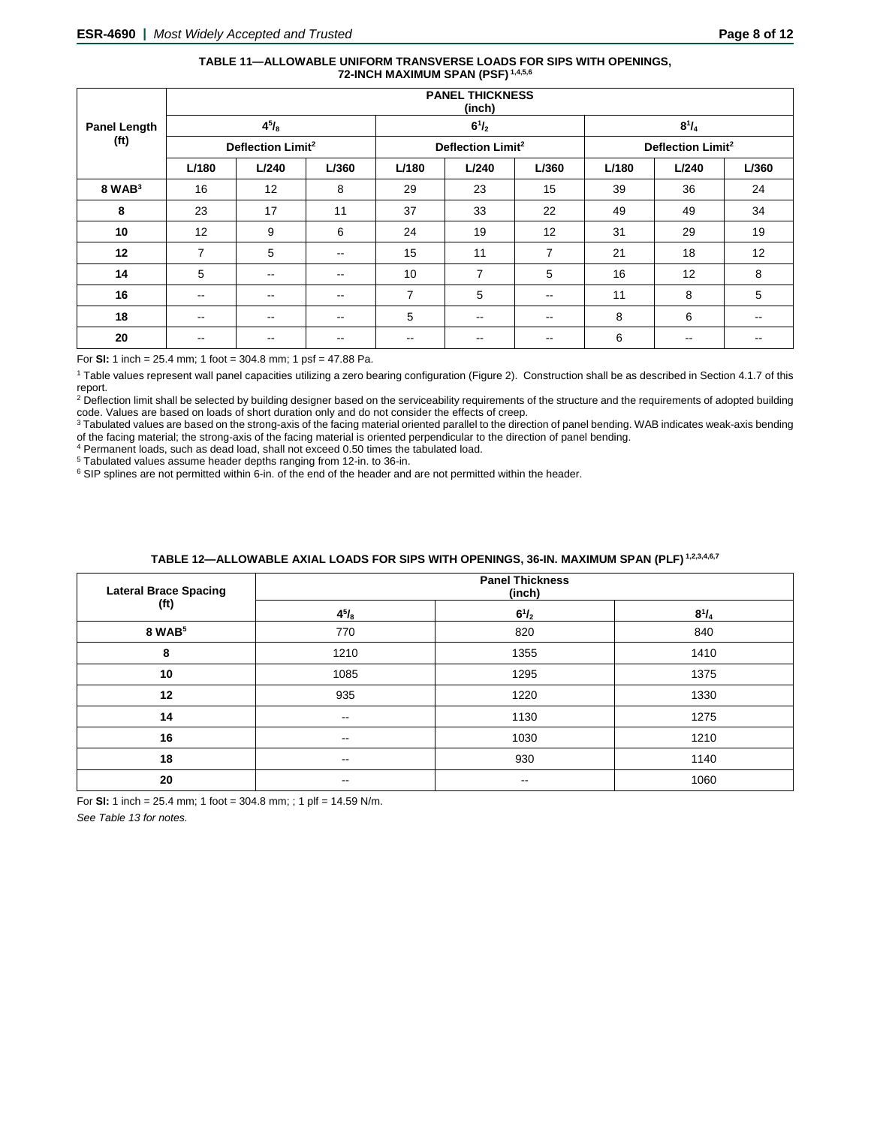#### **TABLE 11—ALLOWABLE UNIFORM TRANSVERSE LOADS FOR SIPS WITH OPENINGS, 72-INCH MAXIMUM SPAN (PSF) 1,4,5,6**

|                     | <b>PANEL THICKNESS</b><br>(inch) |               |                               |                          |                               |                          |       |                          |       |
|---------------------|----------------------------------|---------------|-------------------------------|--------------------------|-------------------------------|--------------------------|-------|--------------------------|-------|
| <b>Panel Length</b> |                                  | $4^{5}/_{8}$  |                               |                          | $6^{1}/_{2}$                  |                          |       | $8^{1}/_{4}$             |       |
| (f <sup>t</sup> )   | Deflection Limit <sup>2</sup>    |               | Deflection Limit <sup>2</sup> |                          | Deflection Limit <sup>2</sup> |                          |       |                          |       |
|                     | L/180                            | L/240         | L/360                         | L/180                    | L/240                         | L/360                    | L/180 | L/240                    | L/360 |
| $8$ WAB $3$         | 16                               | 12            | 8                             | 29                       | 23                            | 15                       | 39    | 36                       | 24    |
| 8                   | 23                               | 17            | 11                            | 37                       | 33                            | 22                       | 49    | 49                       | 34    |
| 10                  | 12                               | 9             | 6                             | 24                       | 19                            | 12                       | 31    | 29                       | 19    |
| 12                  | 7                                | 5             | $\overline{\phantom{a}}$      | 15                       | 11                            | $\overline{7}$           | 21    | 18                       | 12    |
| 14                  | 5                                | $\sim$ $\sim$ | $\overline{\phantom{a}}$      | 10                       | 7                             | 5                        | 16    | 12                       | 8     |
| 16                  | $\overline{\phantom{m}}$         | $\sim$ $\sim$ | $\overline{\phantom{a}}$      | $\overline{7}$           | 5                             | $\overline{\phantom{m}}$ | 11    | 8                        | 5     |
| 18                  | $\overline{\phantom{m}}$         | $\sim$ $-$    | $\overline{\phantom{m}}$      | 5                        | $- -$                         | $-$                      | 8     | 6                        | $- -$ |
| 20                  | --                               | $- -$         | $- -$                         | $\overline{\phantom{m}}$ | --                            | $- -$                    | 6     | $\overline{\phantom{m}}$ |       |

For **SI:** 1 inch = 25.4 mm; 1 foot = 304.8 mm; 1 psf = 47.88 Pa.

<sup>1</sup> Table values represent wall panel capacities utilizing a zero bearing configuration (Figure 2). Construction shall be as described in Section 4.1.7 of this report.

<sup>2</sup> Deflection limit shall be selected by building designer based on the serviceability requirements of the structure and the requirements of adopted building code. Values are based on loads of short duration only and do not consider the effects of creep.

<sup>3</sup> Tabulated values are based on the strong-axis of the facing material oriented parallel to the direction of panel bending. WAB indicates weak-axis bending of the facing material; the strong-axis of the facing material is oriented perpendicular to the direction of panel bending.

 $4$  Permanent loads, such as dead load, shall not exceed 0.50 times the tabulated load.<br> $5$  Tabulated values assume header depths ranging from 12-in. to 36-in.

 $6$  SIP splines are not permitted within 6-in. of the end of the header and are not permitted within the header.

| TABLE 12—ALLOWABLE AXIAL LOADS FOR SIPS WITH OPENINGS. 36-IN. MAXIMUM SPAN (PLF) <sup>1,2,3,4,6,7</sup> |  |
|---------------------------------------------------------------------------------------------------------|--|
|---------------------------------------------------------------------------------------------------------|--|

| <b>Lateral Brace Spacing</b> | <b>Panel Thickness</b><br>(inch) |              |              |  |
|------------------------------|----------------------------------|--------------|--------------|--|
| (ft)                         | $4^{5}/_{8}$                     | $6^{1}/_{2}$ | $8^{1}/_{4}$ |  |
| 8 WAB <sup>5</sup>           | 770                              | 820          | 840          |  |
| 8                            | 1210                             | 1355         | 1410         |  |
| 10                           | 1085                             | 1295         | 1375         |  |
| 12                           | 935                              | 1220         | 1330         |  |
| 14                           | $\qquad \qquad -$                | 1130         | 1275         |  |
| 16                           | $\overline{\phantom{m}}$         | 1030         | 1210         |  |
| 18                           | $\overline{\phantom{a}}$         | 930          | 1140         |  |
| 20                           | $\overline{\phantom{m}}$         | --           | 1060         |  |

For **SI:** 1 inch = 25.4 mm; 1 foot = 304.8 mm; ; 1 plf = 14.59 N/m.

*See Table 13 for notes.*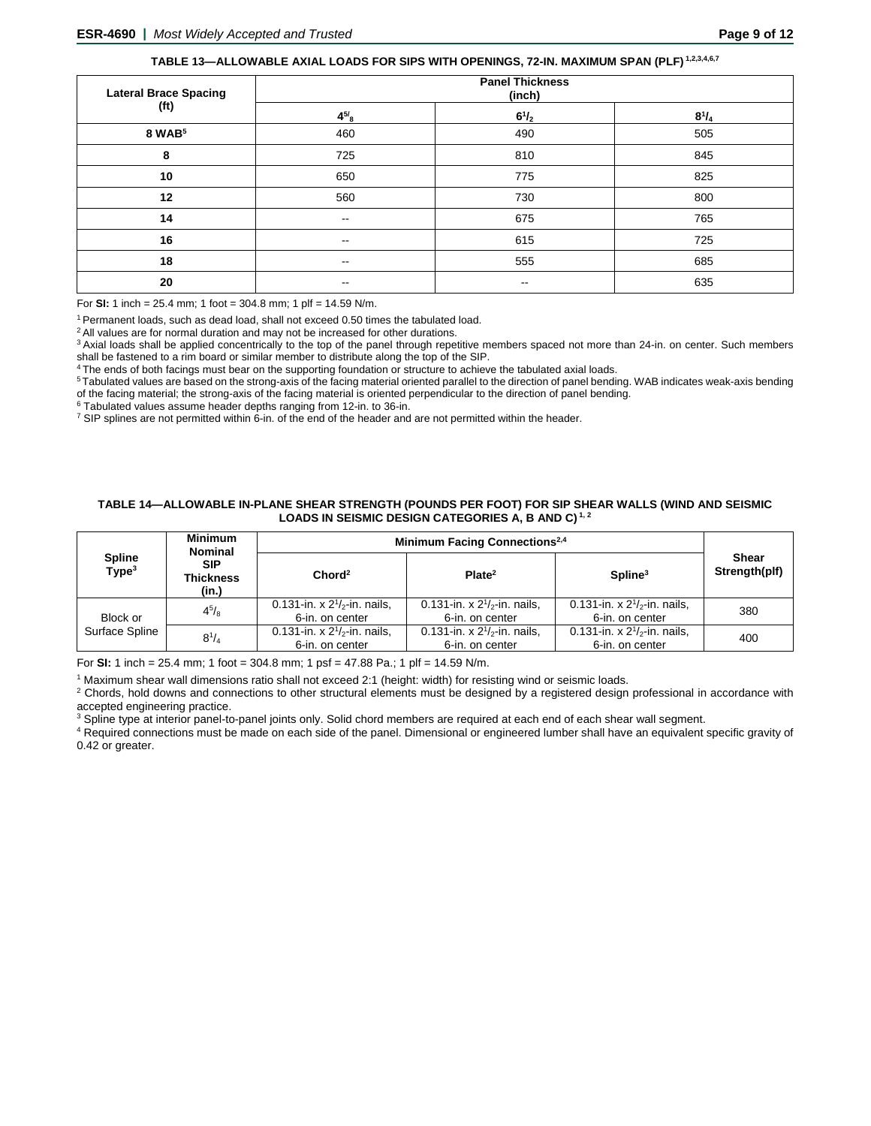# **TABLE 13—ALLOWABLE AXIAL LOADS FOR SIPS WITH OPENINGS, 72-IN. MAXIMUM SPAN (PLF) 1,2,3,4,6,7**

| <b>Lateral Brace Spacing</b> | <b>Panel Thickness</b><br>(inch) |                          |              |  |
|------------------------------|----------------------------------|--------------------------|--------------|--|
| (ft)                         | $4^{5/8}$                        | $6^{1}/_{2}$             | $8^{1}/_{4}$ |  |
| 8 WAB <sup>5</sup>           | 460                              | 490                      | 505          |  |
| 8                            | 725                              | 810                      | 845          |  |
| 10                           | 650                              | 775                      | 825          |  |
| 12                           | 560                              | 730                      | 800          |  |
| 14                           | $\sim$ $\sim$                    | 675                      | 765          |  |
| 16                           | $\overline{\phantom{m}}$         | 615                      | 725          |  |
| 18                           | $\overline{\phantom{m}}$         | 555                      | 685          |  |
| 20                           | $\overline{\phantom{m}}$         | $\overline{\phantom{m}}$ | 635          |  |

For **SI:** 1 inch = 25.4 mm; 1 foot = 304.8 mm; 1 plf = 14.59 N/m.

<sup>1</sup> Permanent loads, such as dead load, shall not exceed 0.50 times the tabulated load.

<sup>2</sup> All values are for normal duration and may not be increased for other durations.

<sup>3</sup> Axial loads shall be applied concentrically to the top of the panel through repetitive members spaced not more than 24-in. on center. Such members shall be fastened to a rim board or similar member to distribute along the top of the SIP.

4 The ends of both facings must bear on the supporting foundation or structure to achieve the tabulated axial loads.

5 Tabulated values are based on the strong-axis of the facing material oriented parallel to the direction of panel bending. WAB indicates weak-axis bending of the facing material; the strong-axis of the facing material is oriented perpendicular to the direction of panel bending.<br><sup>6</sup> Tabulated values assume header depths ranging from 12-in. to 36-in.

 $\frac{7}{1}$  SIP splines are not permitted within 6-in. of the end of the header and are not permitted within the header.

#### **TABLE 14—ALLOWABLE IN-PLANE SHEAR STRENGTH (POUNDS PER FOOT) FOR SIP SHEAR WALLS (WIND AND SEISMIC LOADS IN SEISMIC DESIGN CATEGORIES A, B AND C) 1, 2**

|                                    | <b>Minimum</b><br><b>Nominal</b> | Minimum Facing Connections <sup>2,4</sup>            |                                                      |                                                      |                               |
|------------------------------------|----------------------------------|------------------------------------------------------|------------------------------------------------------|------------------------------------------------------|-------------------------------|
| <b>Spline</b><br>Type <sup>3</sup> | <b>SIP</b><br>Thickness<br>(in.) | Chord <sup>2</sup>                                   | Plate <sup>2</sup>                                   | Spline <sup>3</sup>                                  | <b>Shear</b><br>Strength(plf) |
| Block or                           | $4^{5}/_{8}$                     | 0.131-in. x $2^{1}/2$ -in. nails,<br>6-in. on center | 0.131-in. x $2^{1}/2$ -in. nails,<br>6-in. on center | 0.131-in. x $2^{1}/2$ -in. nails,<br>6-in. on center | 380                           |
| Surface Spline                     | $8^{1}/_{4}$                     | 0.131-in. x $2^{1/2}$ -in. nails,<br>6-in. on center | 0.131-in. x $2^{1/2}$ -in. nails,<br>6-in. on center | 0.131-in. x $2^{1/2}$ -in. nails,<br>6-in. on center | 400                           |

For **SI:** 1 inch = 25.4 mm; 1 foot = 304.8 mm; 1 psf = 47.88 Pa.; 1 plf = 14.59 N/m.

<sup>1</sup> Maximum shear wall dimensions ratio shall not exceed 2:1 (height: width) for resisting wind or seismic loads.

<sup>2</sup> Chords, hold downs and connections to other structural elements must be designed by a registered design professional in accordance with accepted engineering practice.

<sup>3</sup> Spline type at interior panel-to-panel joints only. Solid chord members are required at each end of each shear wall segment.

<sup>4</sup> Required connections must be made on each side of the panel. Dimensional or engineered lumber shall have an equivalent specific gravity of 0.42 or greater.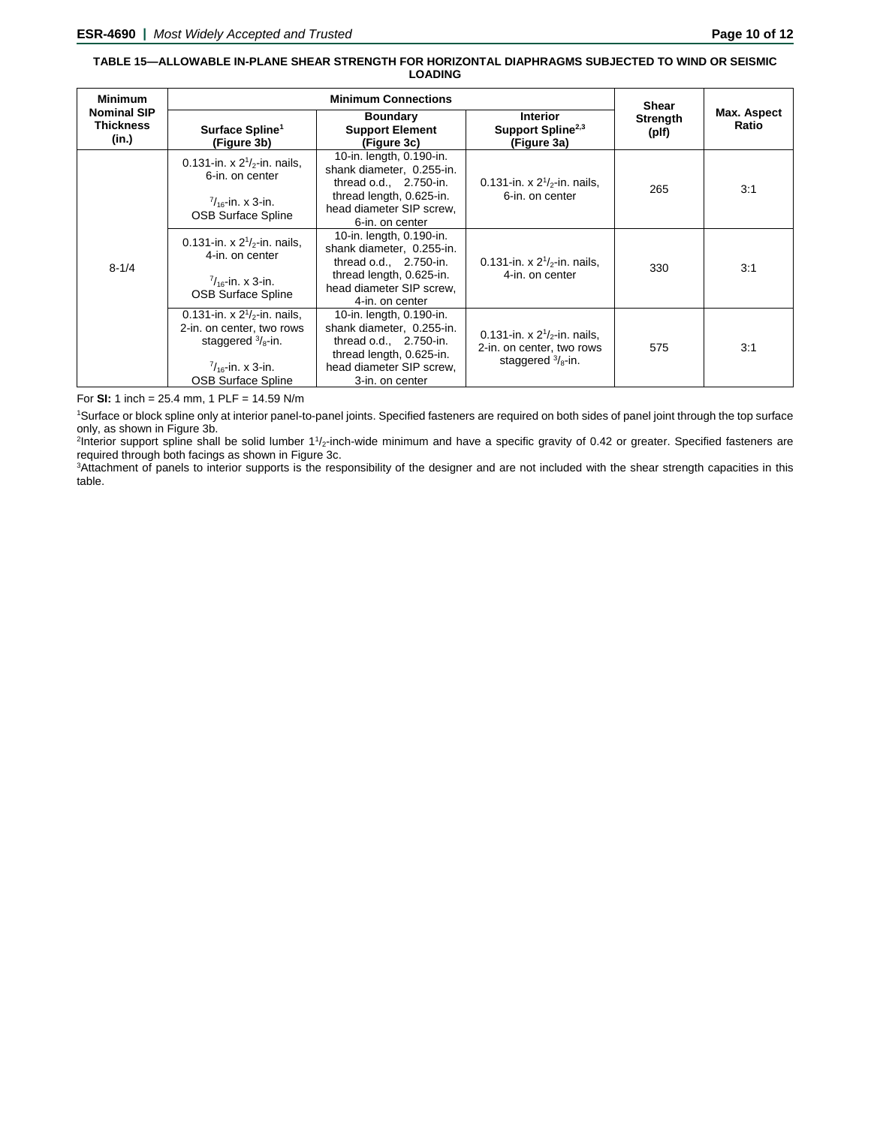#### **TABLE 15—ALLOWABLE IN-PLANE SHEAR STRENGTH FOR HORIZONTAL DIAPHRAGMS SUBJECTED TO WIND OR SEISMIC LOADING**

| <b>Minimum</b>                                  |                                                                                                                                                            | <b>Shear</b>                                                                                                                                                 |                                                                                                |                          |                      |
|-------------------------------------------------|------------------------------------------------------------------------------------------------------------------------------------------------------------|--------------------------------------------------------------------------------------------------------------------------------------------------------------|------------------------------------------------------------------------------------------------|--------------------------|----------------------|
| <b>Nominal SIP</b><br><b>Thickness</b><br>(in.) | Surface Spline <sup>1</sup><br>(Figure 3b)                                                                                                                 | <b>Boundary</b><br><b>Support Element</b><br>(Figure 3c)                                                                                                     | <b>Interior</b><br>Support Spline <sup>2,3</sup><br>(Figure 3a)                                | <b>Strength</b><br>(plf) | Max. Aspect<br>Ratio |
| $8 - 1/4$                                       | 0.131-in. x $2^{1}/2$ -in. nails,<br>6-in. on center<br>$\frac{7}{16}$ -in. x 3-in.<br><b>OSB Surface Spline</b>                                           | 10-in. length, 0.190-in.<br>shank diameter, 0.255-in.<br>thread $o.d., 2.750-in.$<br>thread length, 0.625-in.<br>head diameter SIP screw,<br>6-in. on center | 0.131-in. x $2^{1}/_{2}$ -in. nails,<br>6-in. on center                                        | 265                      | 3:1                  |
|                                                 | 0.131-in. x $2^{1}/2$ -in. nails,<br>4-in. on center<br>$\frac{7}{16}$ -in. x 3-in.<br><b>OSB Surface Spline</b>                                           | 10-in. length, 0.190-in.<br>shank diameter, 0.255-in.<br>thread o.d., 2.750-in.<br>thread length, 0.625-in.<br>head diameter SIP screw,<br>4-in, on center   | 0.131-in. x $2^{1/2}$ -in. nails.<br>4-in. on center                                           | 330                      | 3:1                  |
|                                                 | 0.131-in. x $2^{1/2}$ -in. nails,<br>2-in. on center, two rows<br>staggered $\frac{3}{8}$ -in.<br>$\frac{7}{16}$ -in. x 3-in.<br><b>OSB Surface Spline</b> | 10-in. length, 0.190-in.<br>shank diameter, 0.255-in.<br>thread $o.d., 2.750-in.$<br>thread length, 0.625-in.<br>head diameter SIP screw.<br>3-in, on center | 0.131-in. x $2^{1/2}$ -in. nails.<br>2-in. on center, two rows<br>staggered $\frac{3}{8}$ -in. | 575                      | 3:1                  |

For **SI:** 1 inch = 25.4 mm, 1 PLF = 14.59 N/m

1 Surface or block spline only at interior panel-to-panel joints. Specified fasteners are required on both sides of panel joint through the top surface only, as shown in Figure 3b.<br><sup>2</sup>Interior support spline shall be solid lumber 1½-inch-wide minimum and have a specific gravity of 0.42 or greater. Specified fasteners are

required through both facings as shown in Figure 3c.

3 Attachment of panels to interior supports is the responsibility of the designer and are not included with the shear strength capacities in this table.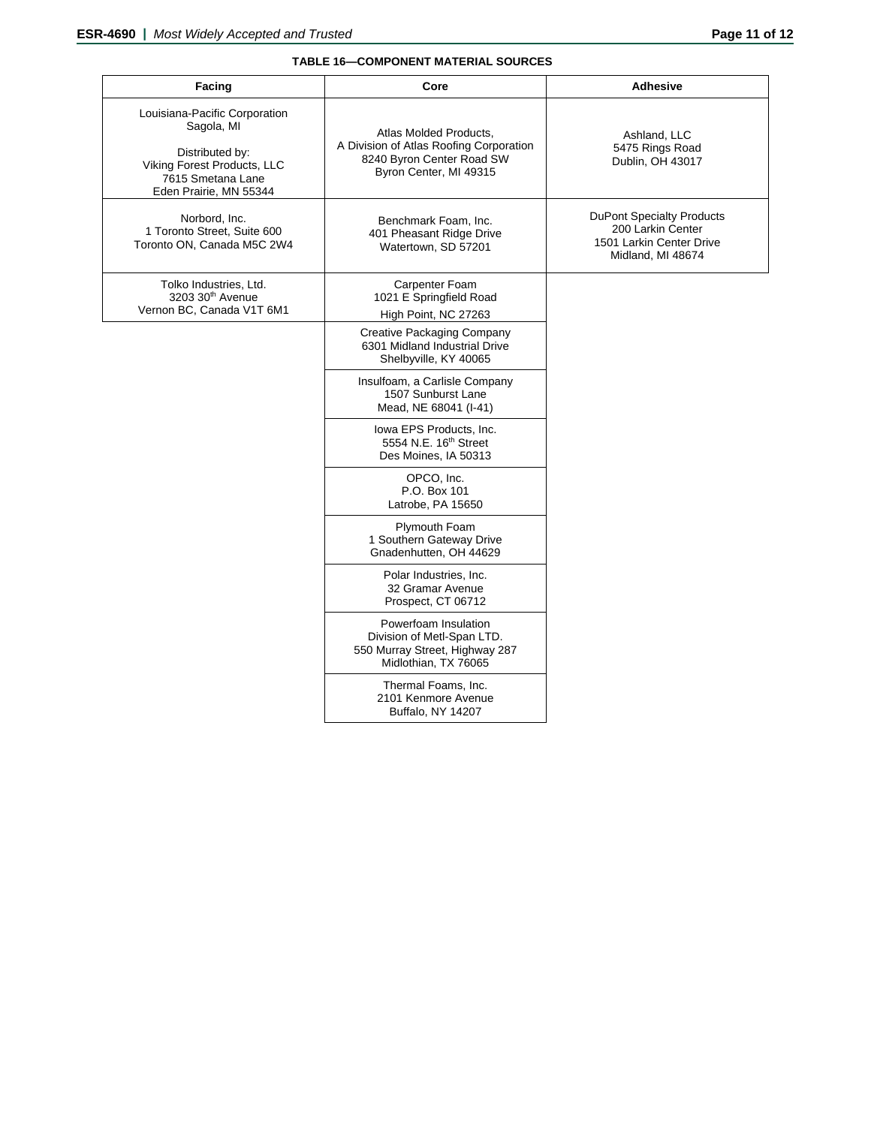# **TABLE 16—COMPONENT MATERIAL SOURCES**

| Facing                                                                                                                                       | Core                                                                                                                     | <b>Adhesive</b>                                                                                        |
|----------------------------------------------------------------------------------------------------------------------------------------------|--------------------------------------------------------------------------------------------------------------------------|--------------------------------------------------------------------------------------------------------|
| Louisiana-Pacific Corporation<br>Sagola, MI<br>Distributed by:<br>Viking Forest Products, LLC<br>7615 Smetana Lane<br>Eden Prairie, MN 55344 | Atlas Molded Products.<br>A Division of Atlas Roofing Corporation<br>8240 Byron Center Road SW<br>Byron Center, MI 49315 | Ashland, LLC<br>5475 Rings Road<br>Dublin, OH 43017                                                    |
| Norbord, Inc.<br>1 Toronto Street, Suite 600<br>Toronto ON, Canada M5C 2W4                                                                   | Benchmark Foam, Inc.<br>401 Pheasant Ridge Drive<br>Watertown, SD 57201                                                  | <b>DuPont Specialty Products</b><br>200 Larkin Center<br>1501 Larkin Center Drive<br>Midland, MI 48674 |
| Tolko Industries, Ltd.<br>3203 30 <sup>th</sup> Avenue<br>Vernon BC, Canada V1T 6M1                                                          | Carpenter Foam<br>1021 E Springfield Road<br>High Point, NC 27263                                                        |                                                                                                        |
|                                                                                                                                              | <b>Creative Packaging Company</b><br>6301 Midland Industrial Drive<br>Shelbyville, KY 40065                              |                                                                                                        |
|                                                                                                                                              | Insulfoam, a Carlisle Company<br>1507 Sunburst Lane<br>Mead, NE 68041 (I-41)                                             |                                                                                                        |
|                                                                                                                                              | Iowa EPS Products, Inc.<br>5554 N.E. 16 <sup>th</sup> Street<br>Des Moines, IA 50313                                     |                                                                                                        |
|                                                                                                                                              | OPCO, Inc.<br>P.O. Box 101<br>Latrobe, PA 15650                                                                          |                                                                                                        |
|                                                                                                                                              | Plymouth Foam<br>1 Southern Gateway Drive<br>Gnadenhutten, OH 44629                                                      |                                                                                                        |
|                                                                                                                                              | Polar Industries, Inc.<br>32 Gramar Avenue<br>Prospect, CT 06712                                                         |                                                                                                        |
|                                                                                                                                              | Powerfoam Insulation<br>Division of Metl-Span LTD.<br>550 Murray Street, Highway 287<br>Midlothian, TX 76065             |                                                                                                        |
|                                                                                                                                              | Thermal Foams, Inc.<br>2101 Kenmore Avenue<br>Buffalo, NY 14207                                                          |                                                                                                        |